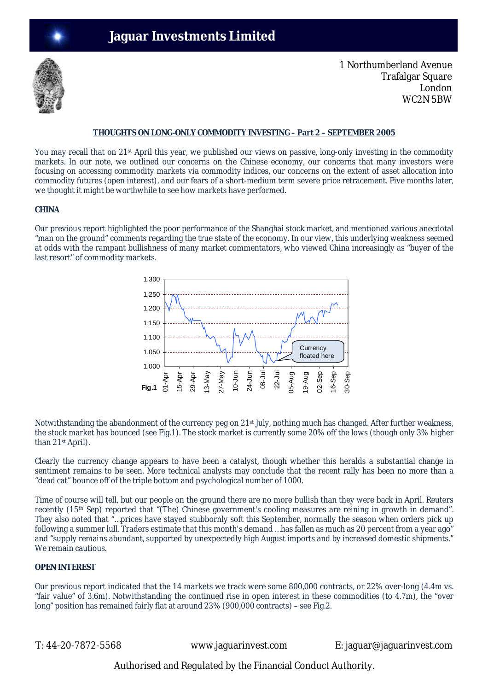

1 Northumberland Avenue Trafalgar Square London WC2N 5BW

## **THOUGHTS ON LONG-ONLY COMMODITY INVESTING – Part 2 – SEPTEMBER 2005**

You may recall that on 21<sup>st</sup> April this year, we published our views on passive, long-only investing in the commodity markets. In our note, we outlined our concerns on the Chinese economy, our concerns that many investors were focusing on accessing commodity markets via commodity indices, our concerns on the extent of asset allocation into commodity futures (open interest), and our fears of a short-medium term severe price retracement. Five months later, we thought it might be worthwhile to see how markets have performed.

## **CHINA**

Our previous report highlighted the poor performance of the Shanghai stock market, and mentioned various anecdotal "man on the ground" comments regarding the true state of the economy. In our view, this underlying weakness seemed at odds with the rampant bullishness of many market commentators, who viewed China increasingly as "buyer of the last resort" of commodity markets.



Notwithstanding the abandonment of the currency peg on 21<sup>st</sup> July, nothing much has changed. After further weakness, the stock market has bounced (see Fig.1). The stock market is currently some 20% off the lows (though only 3% higher than 21st April).

Clearly the currency change appears to have been a catalyst, though whether this heralds a substantial change in sentiment remains to be seen. More technical analysts may conclude that the recent rally has been no more than a "dead cat" bounce off of the triple bottom and psychological number of 1000.

Time of course will tell, but our people on the ground there are no more bullish than they were back in April. Reuters recently (15<sup>th</sup> Sep) reported that "(The) Chinese government's cooling measures are reining in growth in demand". They also noted that "…prices have stayed stubbornly soft this September, normally the season when orders pick up following a summer lull. Traders estimate that this month's demand …has fallen as much as 20 percent from a year ago" and "supply remains abundant, supported by unexpectedly high August imports and by increased domestic shipments." We remain cautious.

# **OPEN INTEREST**

Our previous report indicated that the 14 markets we track were some 800,000 contracts, or 22% over-long (4.4m vs. "fair value" of 3.6m). Notwithstanding the continued rise in open interest in these commodities (to 4.7m), the "over long" position has remained fairly flat at around 23% (900,000 contracts) – see Fig.2.

T: 44-20-7872-5568 www.jaguarinvest.com E: jaguar@jaguarinvest.com

Authorised and Regulated by the Financial Conduct Authority.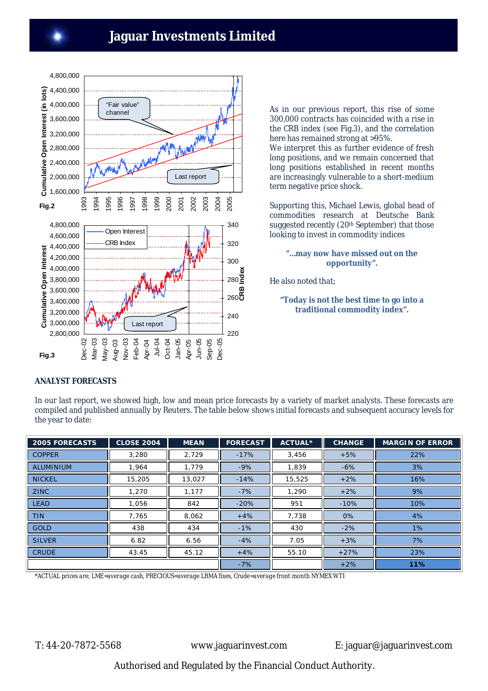

As in our previous report, this rise of some 300,000 contracts has coincided with a rise in the CRB index (see Fig.3), and the correlation here has remained strong at >95%.

We interpret this as further evidence of fresh long positions, and we remain concerned that long positions established in recent months are increasingly vulnerable to a short-medium term negative price shock.

Supporting this, Michael Lewis, global head of commodities research at Deutsche Bank suggested recently (20<sup>th</sup> September) that those looking to invest in commodity indices

## **"…may now have missed out on the opportunity".**

He also noted that;

# **"Today is not the best time to go into a traditional commodity index".**

# **ANALYST FORECASTS**

In our last report, we showed high, low and mean price forecasts by a variety of market analysts. These forecasts are compiled and published annually by Reuters. The table below shows initial forecasts and subsequent accuracy levels for the year to date:

| <b>2005 FORECASTS</b> | <b>CLOSE 2004</b> | <b>MEAN</b> | <b>FORECAST</b><br>Ш | <b>ACTUAL*</b> | <b>CHANGE</b> | <b>MARGIN OF ERROR</b> |
|-----------------------|-------------------|-------------|----------------------|----------------|---------------|------------------------|
| <b>COPPER</b>         | 3,280             | 2,729       | $-17%$               | 3,456          | $+5%$         | 22%                    |
| <b>ALUMINIUM</b>      | 1.964             | 1.779       | $-9%$                | 1.839          | $-6%$         | 3%                     |
| <b>NICKEL</b>         | 15,205            | 13,027      | $-14%$               | 15,525         | $+2%$         | 16%                    |
| <b>ZINC</b>           | 1,270             | 1.177       | $-7%$                | 1,290          | $+2%$         | 9%                     |
| <b>LEAD</b>           | 1,056             | 842         | $-20%$               | 951            | $-10%$        | 10%                    |
| <b>TIN</b>            | 7,765             | 8,062       | $+4%$                | 7,738          | 0%            | 4%                     |
| <b>GOLD</b>           | 438               | 434         | $-1%$                | 430            | $-2%$         | 1%                     |
| <b>SILVER</b>         | 6.82              | 6.56        | $-4%$                | 7.05           | $+3%$         | 7%                     |
| <b>CRUDE</b>          | 43.45             | 45.12       | $+4%$                | 55.10          | $+27%$        | 23%                    |
|                       |                   |             | $-7%$                |                | $+2%$         | 11%                    |

*\*ACTUAL prices are; LME=average cash, PRECIOUS=average LBMA fixes, Crude=average front month NYMEX WTI*

T: 44-20-7872-5568 www.jaguarinvest.com E: jaguar@jaguarinvest.com

Authorised and Regulated by the Financial Conduct Authority.